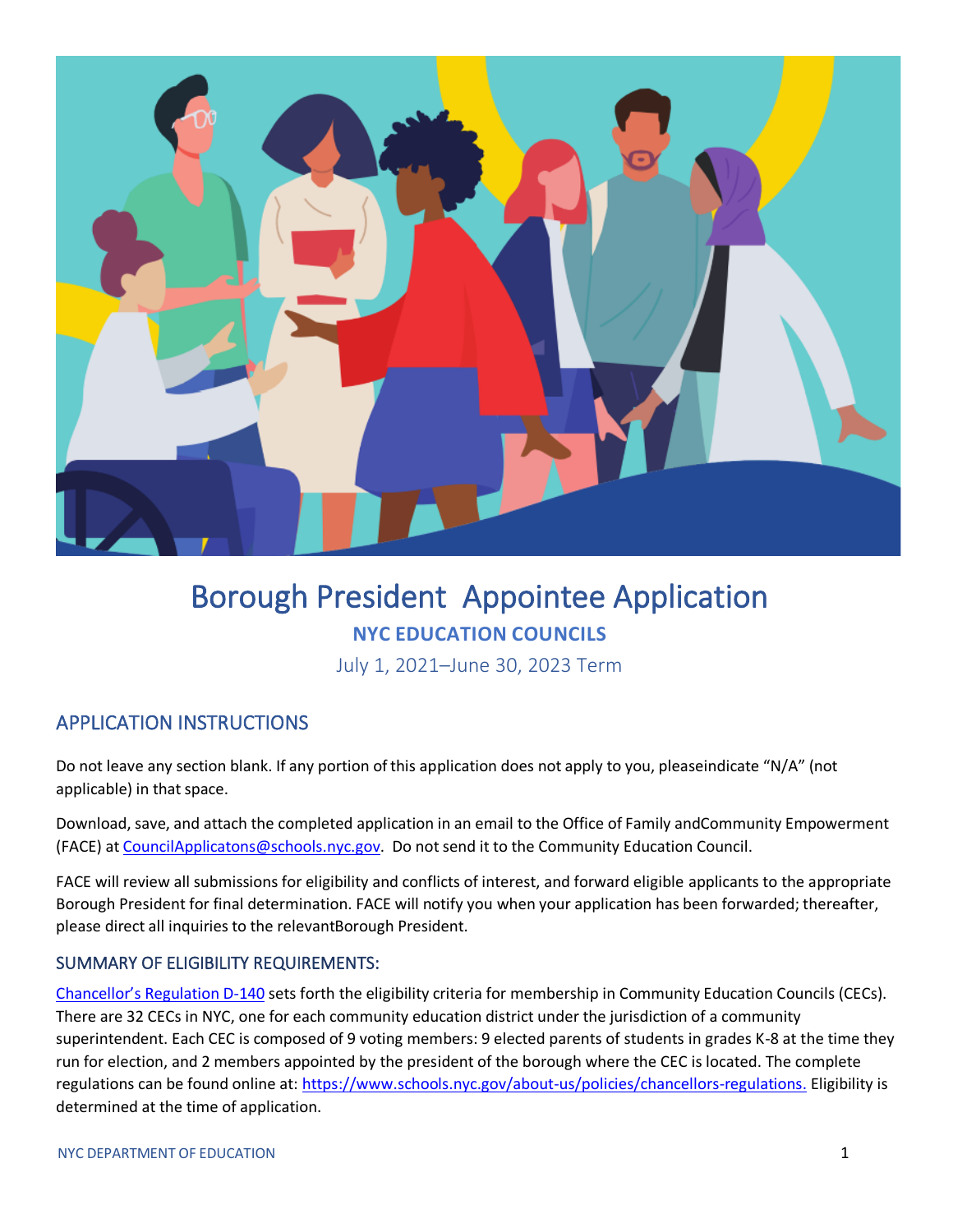

# Borough President Appointee Application **NYC EDUCATION COUNCILS**

July 1, 2021–June 30, 2023 Term

## APPLICATION INSTRUCTIONS

Do not leave any section blank. If any portion of this application does not apply to you, pleaseindicate "N/A" (not applicable) in that space.

Download, save, and attach the completed application in an email to the Office of Family andCommunity Empowerment (FACE) at [CouncilApplicatons@schools.nyc.gov.](mailto:CouncilApplicatons@schools.nyc.gov) Do notsend it to the Community Education Council.

FACE will review all submissions for eligibility and conflicts of interest, and forward eligible applicants to the appropriate Borough President for final determination. FACE will notify you when your application has been forwarded; thereafter, please direct all inquiries to the relevantBorough President.

### SUMMARY OF ELIGIBILITY REQUIREMENTS:

[Chancellor's Regulation D](https://www.schools.nyc.gov/about-us/policies/chancellors-regulations/volume-d-regulations)-140 sets forth the eligibility criteria for membership in Community Education Councils (CECs). There are 32 CECs in NYC, one for each community education district under the jurisdiction of a community superintendent. Each CEC is composed of 9 voting members: 9 elected parents of students in grades K-8 at the time they run for election, and 2 members appointed by the president of the borough where the CEC is located. The complete regulations can be found online at: [https://www.schools.nyc.gov/about-us/policies/chancellors-regulations.](https://www.schools.nyc.gov/about-us/policies/chancellors-regulations) Eligibility is determined at the time of application.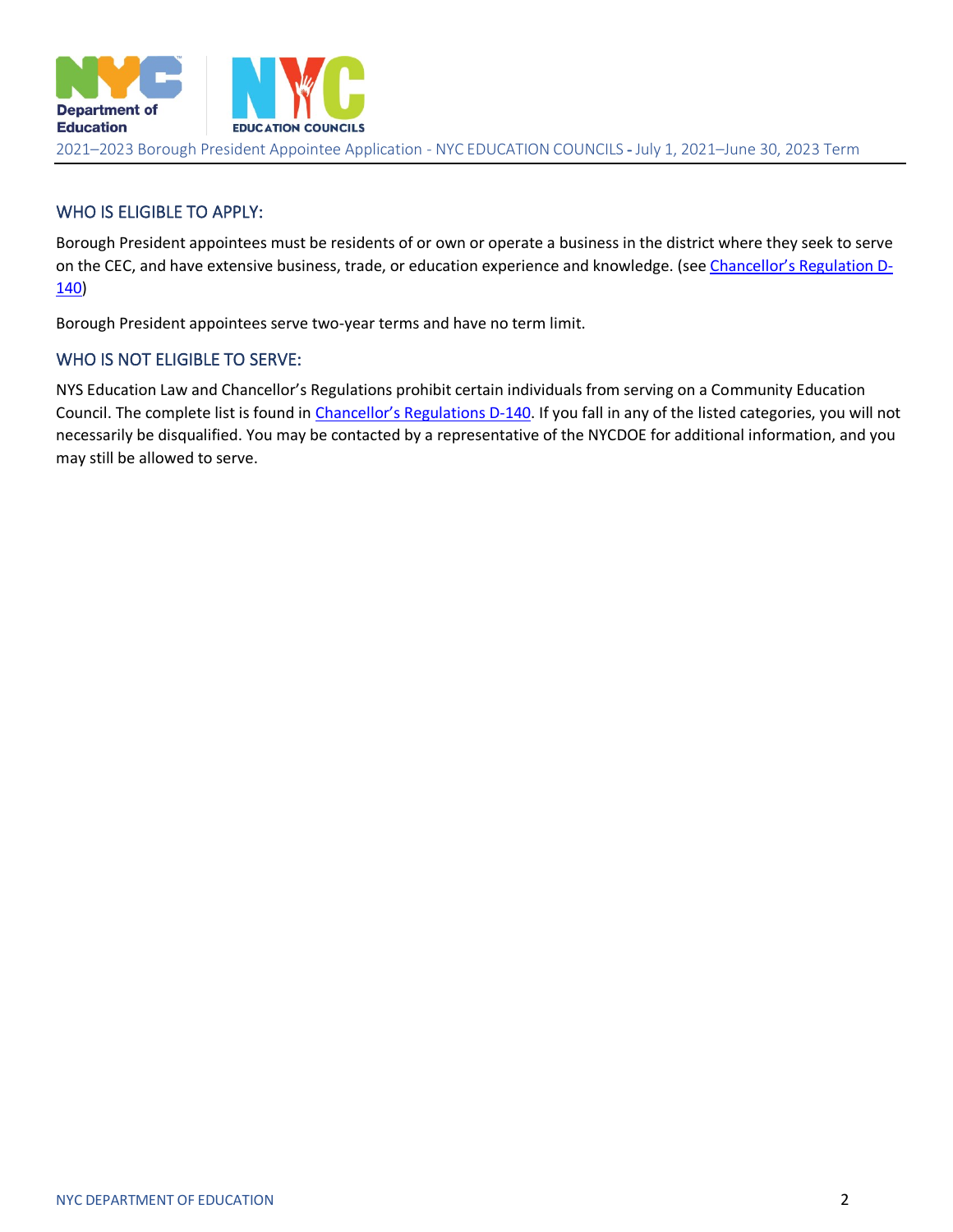

#### WHO IS ELIGIBLE TO APPLY:

Borough President appointees must be residents of or own or operate a business in the district where they seek to serve on the CEC, and have extensive business, trade, or education experience and knowledge. (see [Chancellor's Regulation D](https://www.schools.nyc.gov/about-us/policies/chancellors-regulations/volume-d-regulations)-[140\)](https://www.schools.nyc.gov/about-us/policies/chancellors-regulations/volume-d-regulations)

Borough President appointees serve two-year terms and have no term limit.

#### WHO IS NOT ELIGIBLE TO SERVE:

NYS Education Law and Chancellor's Regulations prohibit certain individuals from serving on a Community Education Council. The complete list is found in C[hancellor's Regulations D](https://www.schools.nyc.gov/about-us/policies/chancellors-regulations/volume-d-regulations)-140. If you fall in any of the listed categories, you will not necessarily be disqualified. You may be contacted by a representative of the NYCDOE for additional information, and you may still be allowed to serve.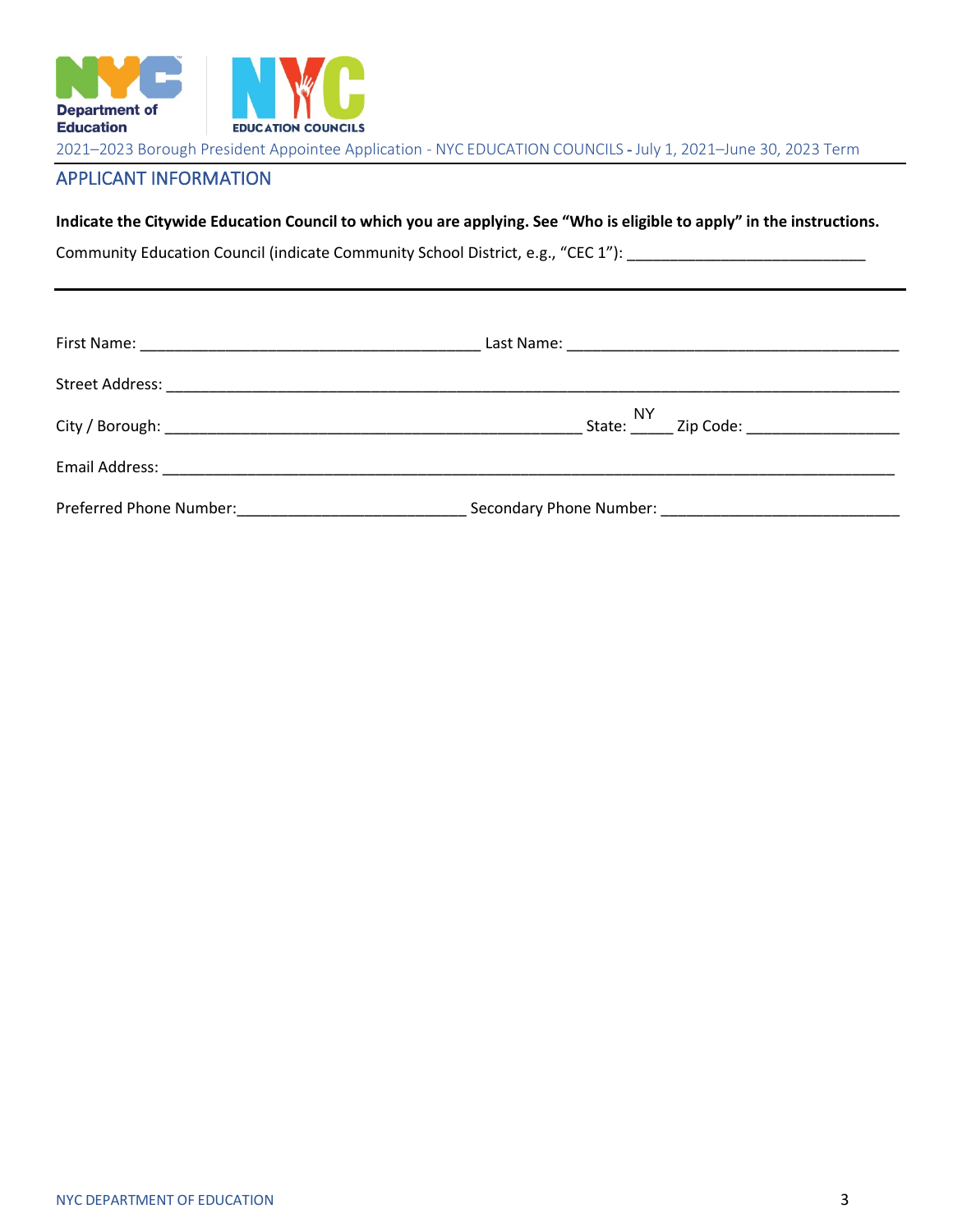

## APPLICANT INFORMATION

**Indicate the Citywide Education Council to which you are applying. See "Who is eligible to apply" in the instructions.**

Community Education Council (indicate Community School District, e.g., "CEC 1"): \_\_\_\_\_\_\_\_\_\_\_\_\_\_\_\_\_\_\_\_\_\_\_\_\_\_\_\_\_

| Email Address: 2008. 2009. 2009. 2009. 2010. 2010. 2010. 2010. 2010. 2010. 2010. 2010. 2010. 2010. 2010. 2010 |                                                 |
|---------------------------------------------------------------------------------------------------------------|-------------------------------------------------|
|                                                                                                               | Secondary Phone Number: Secondary Phone Number: |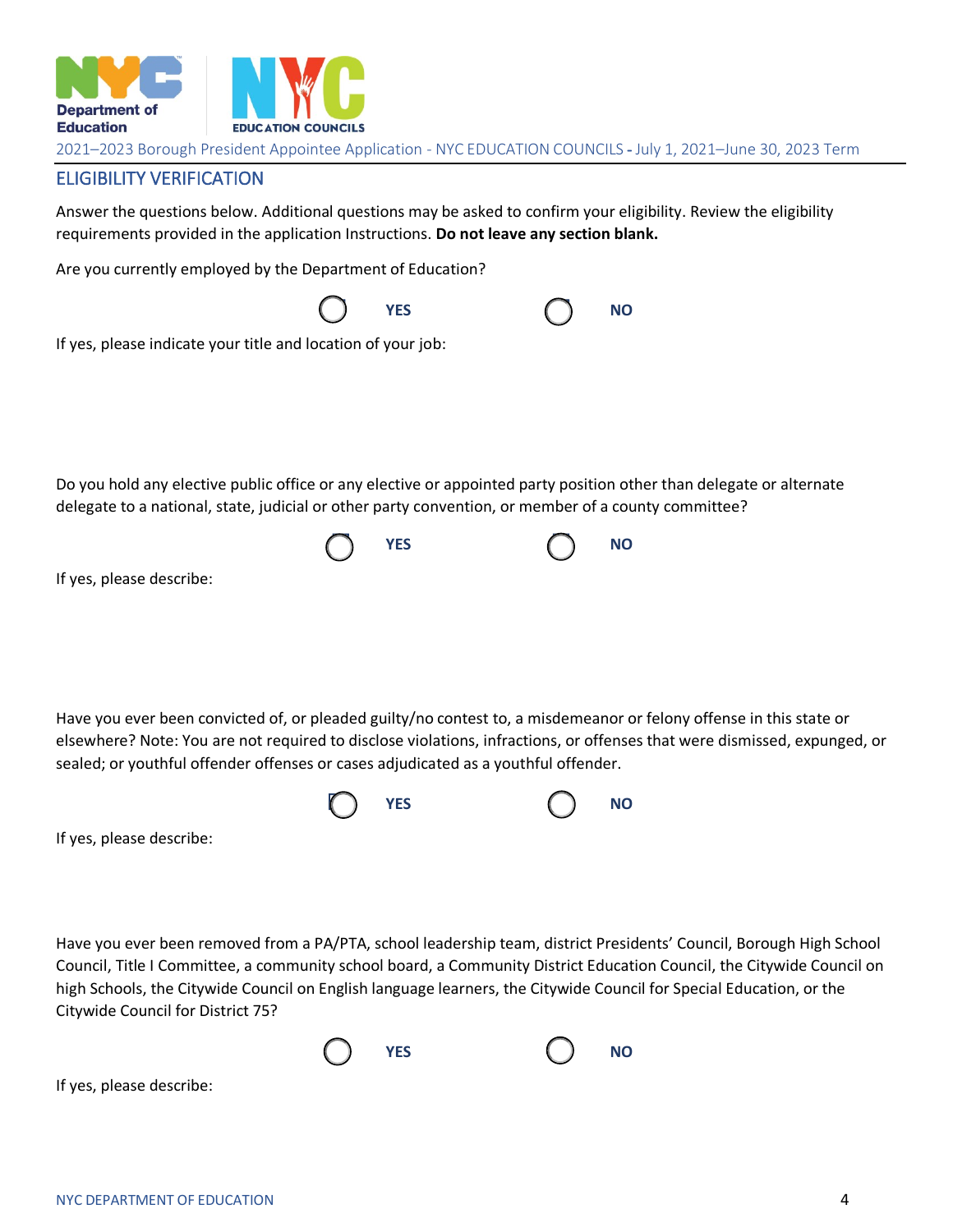

#### ELIGIBILITY VERIFICATION

Answer the questions below. Additional questions may be asked to confirm your eligibility. Review the eligibility requirements provided in the application Instructions. **Do not leave any section blank.**

Are you currently employed by the Department of Education?

|                                                                                                                                                                                                                            | <b>YES</b> | <b>NO</b> |
|----------------------------------------------------------------------------------------------------------------------------------------------------------------------------------------------------------------------------|------------|-----------|
| If yes, please indicate your title and location of your job:                                                                                                                                                               |            |           |
|                                                                                                                                                                                                                            |            |           |
|                                                                                                                                                                                                                            |            |           |
|                                                                                                                                                                                                                            |            |           |
| Do you hold any elective public office or any elective or appointed party position other than delegate or alternate<br>delegate to a national, state, judicial or other party convention, or member of a county committee? |            |           |
|                                                                                                                                                                                                                            | <b>YES</b> | <b>NO</b> |
| If yes, please describe:                                                                                                                                                                                                   |            |           |
|                                                                                                                                                                                                                            |            |           |
|                                                                                                                                                                                                                            |            |           |
|                                                                                                                                                                                                                            |            |           |
| Have you ever been convicted of, or pleaded guilty/no contest to, a misdemeanor or felony offense in this state or                                                                                                         |            |           |

elsewhere? Note: You are not required to disclose violations, infractions, or offenses that were dismissed, expunged, or sealed; or youthful offender offenses or cases adjudicated as a youthful offender.



If yes, please describe:

Have you ever been removed from a PA/PTA, school leadership team, district Presidents' Council, Borough High School Council, Title I Committee, a community school board, a Community District Education Council, the Citywide Council on high Schools, the Citywide Council on English language learners, the Citywide Council for Special Education, or the Citywide Council for District 75?





If yes, please describe: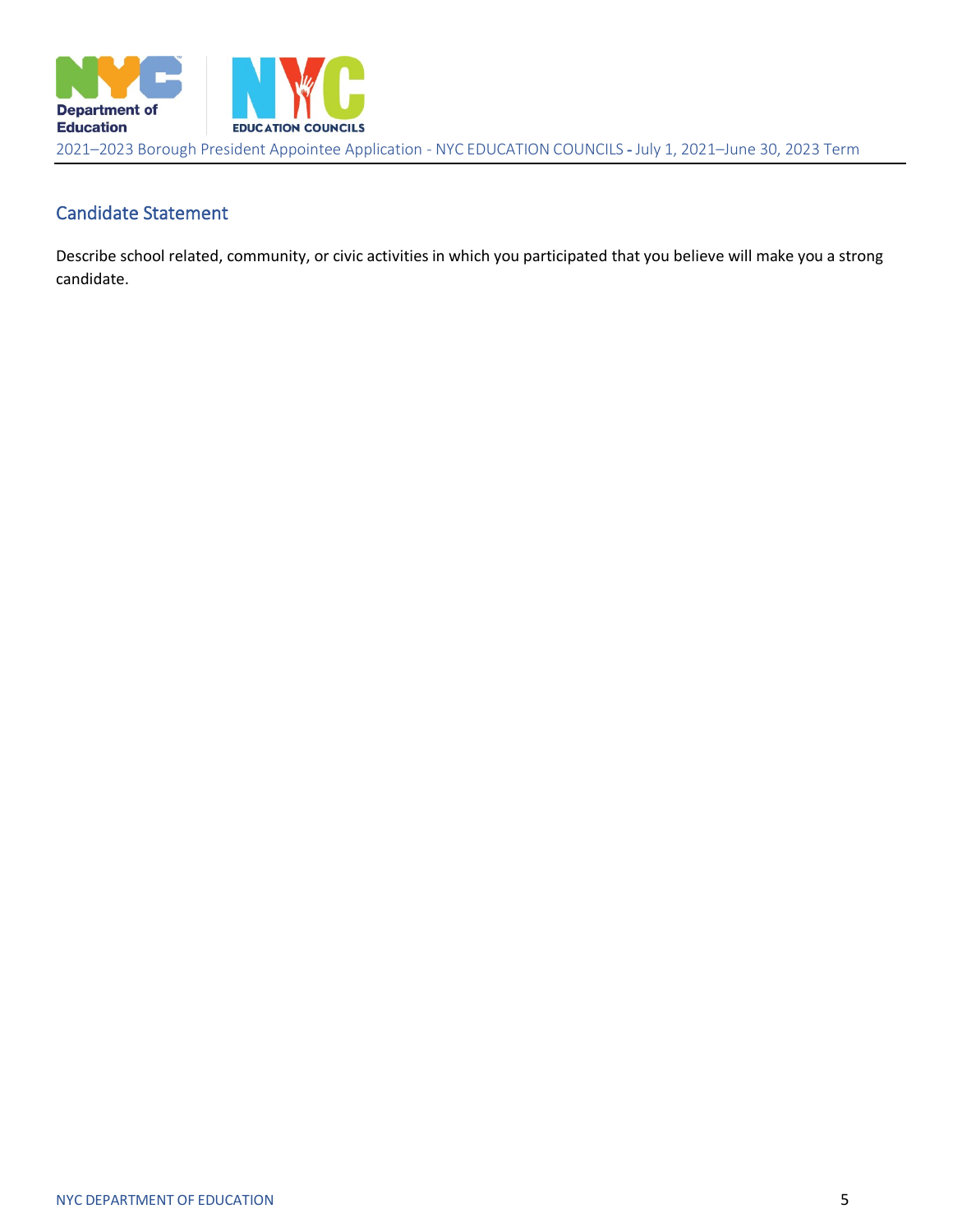

## Candidate Statement

Describe school related, community, or civic activities in which you participated that you believe will make you a strong candidate.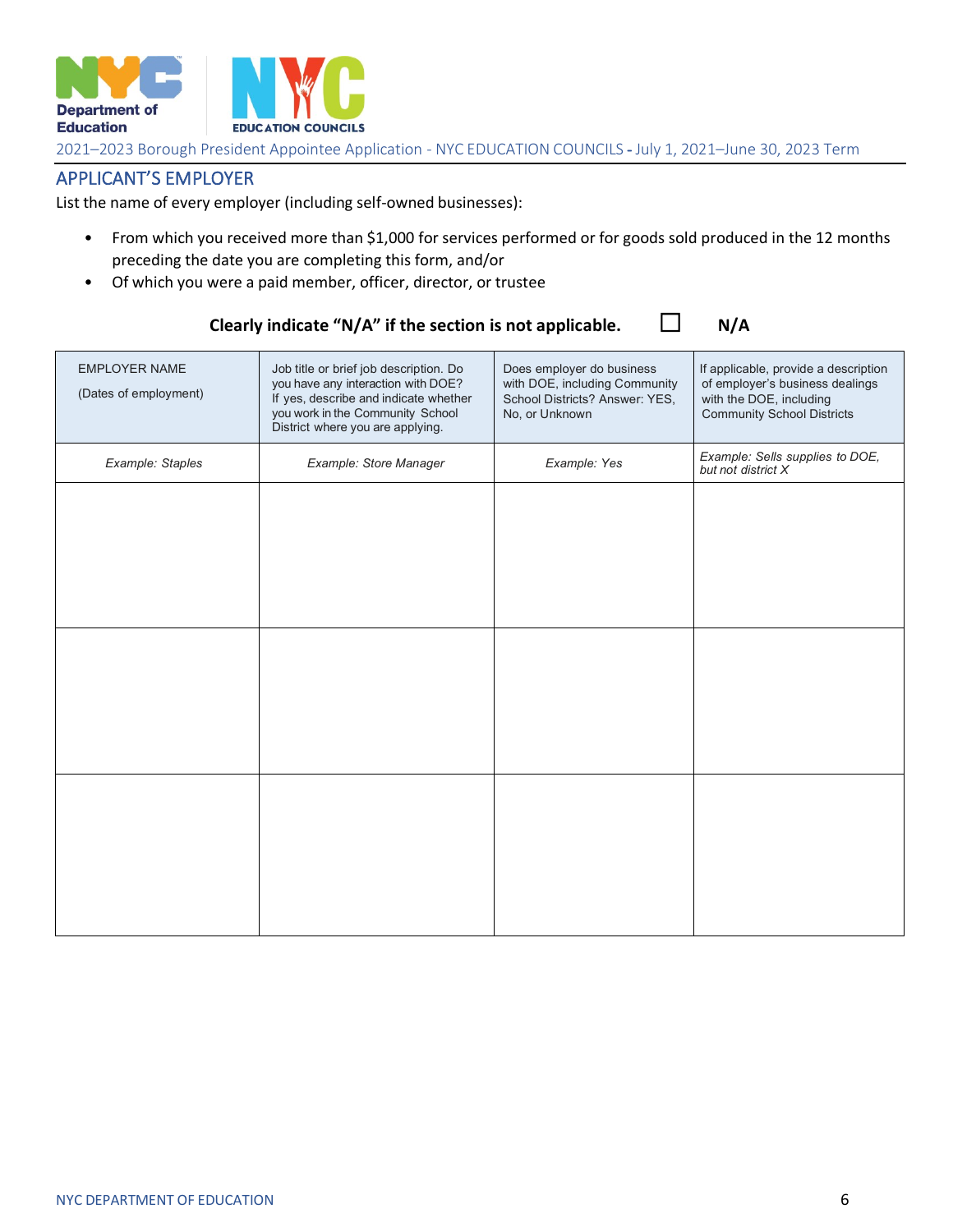

## APPLICANT'S EMPLOYER

List the name of every employer (including self-owned businesses):

- From which you received more than \$1,000 for services performed or for goods sold produced in the 12 months preceding the date you are completing this form, and/or
- Of which you were a paid member, officer, director, or trustee

| <b>EMPLOYER NAME</b><br>(Dates of employment) | Job title or brief job description. Do<br>you have any interaction with DOE?<br>If yes, describe and indicate whether<br>you work in the Community School<br>District where you are applying. | Does employer do business<br>with DOE, including Community<br>School Districts? Answer: YES,<br>No, or Unknown | If applicable, provide a description<br>of employer's business dealings<br>with the DOE, including<br><b>Community School Districts</b> |
|-----------------------------------------------|-----------------------------------------------------------------------------------------------------------------------------------------------------------------------------------------------|----------------------------------------------------------------------------------------------------------------|-----------------------------------------------------------------------------------------------------------------------------------------|
| Example: Staples                              | Example: Store Manager                                                                                                                                                                        | Example: Yes                                                                                                   | Example: Sells supplies to DOE,<br>but not district X                                                                                   |
|                                               |                                                                                                                                                                                               |                                                                                                                |                                                                                                                                         |
|                                               |                                                                                                                                                                                               |                                                                                                                |                                                                                                                                         |
|                                               |                                                                                                                                                                                               |                                                                                                                |                                                                                                                                         |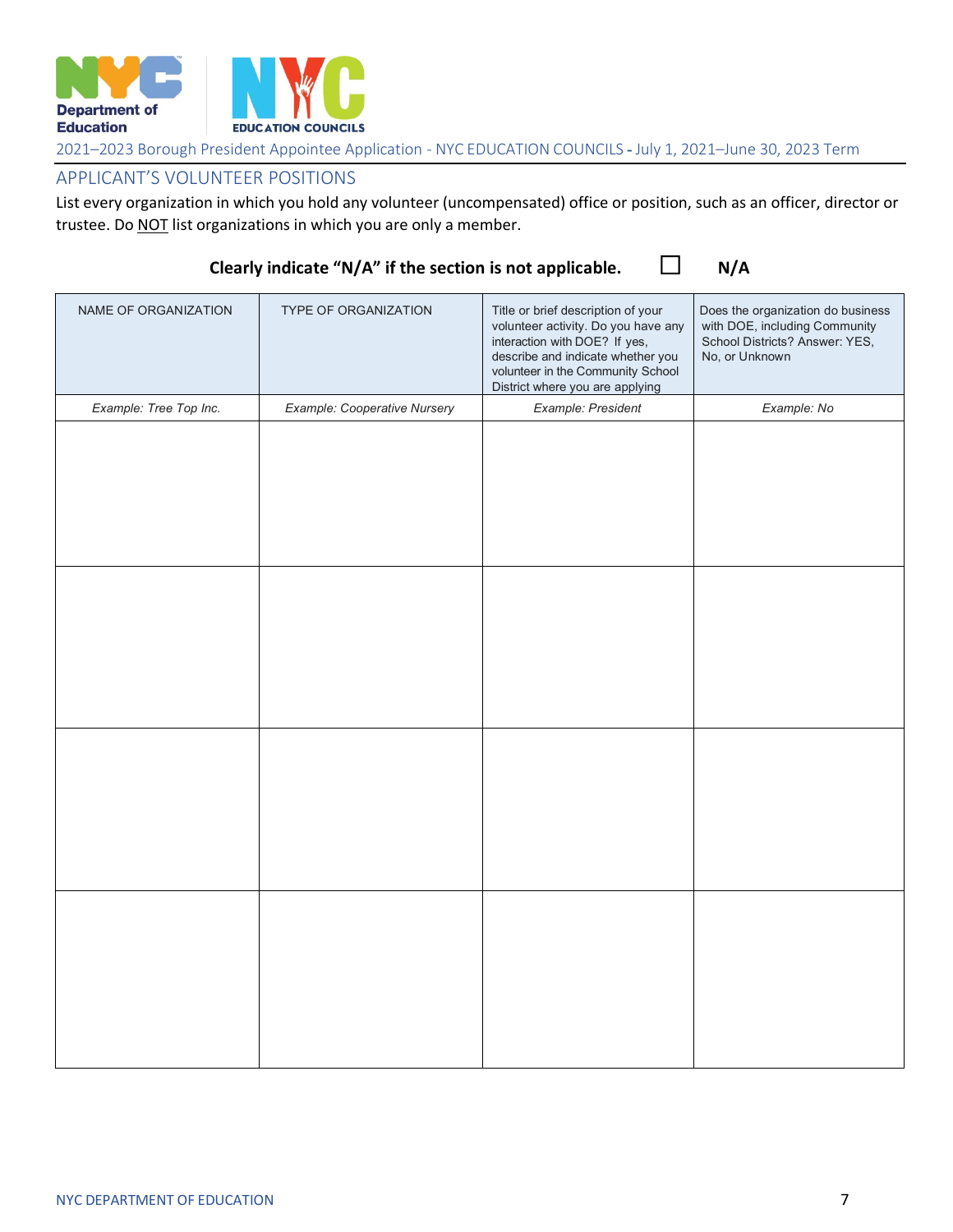

#### APPLICANT'S VOLUNTEER POSITIONS

List every organization in which you hold any volunteer (uncompensated) office or position, such as an officer, director or trustee. Do NOT list organizations in which you are only a member.

| NAME OF ORGANIZATION   | TYPE OF ORGANIZATION         | Title or brief description of your<br>volunteer activity. Do you have any<br>interaction with DOE? If yes,<br>describe and indicate whether you<br>volunteer in the Community School<br>District where you are applying | Does the organization do business<br>with DOE, including Community<br>School Districts? Answer: YES,<br>No, or Unknown |
|------------------------|------------------------------|-------------------------------------------------------------------------------------------------------------------------------------------------------------------------------------------------------------------------|------------------------------------------------------------------------------------------------------------------------|
| Example: Tree Top Inc. | Example: Cooperative Nursery | Example: President                                                                                                                                                                                                      | Example: No                                                                                                            |
|                        |                              |                                                                                                                                                                                                                         |                                                                                                                        |
|                        |                              |                                                                                                                                                                                                                         |                                                                                                                        |
|                        |                              |                                                                                                                                                                                                                         |                                                                                                                        |
|                        |                              |                                                                                                                                                                                                                         |                                                                                                                        |
|                        |                              |                                                                                                                                                                                                                         |                                                                                                                        |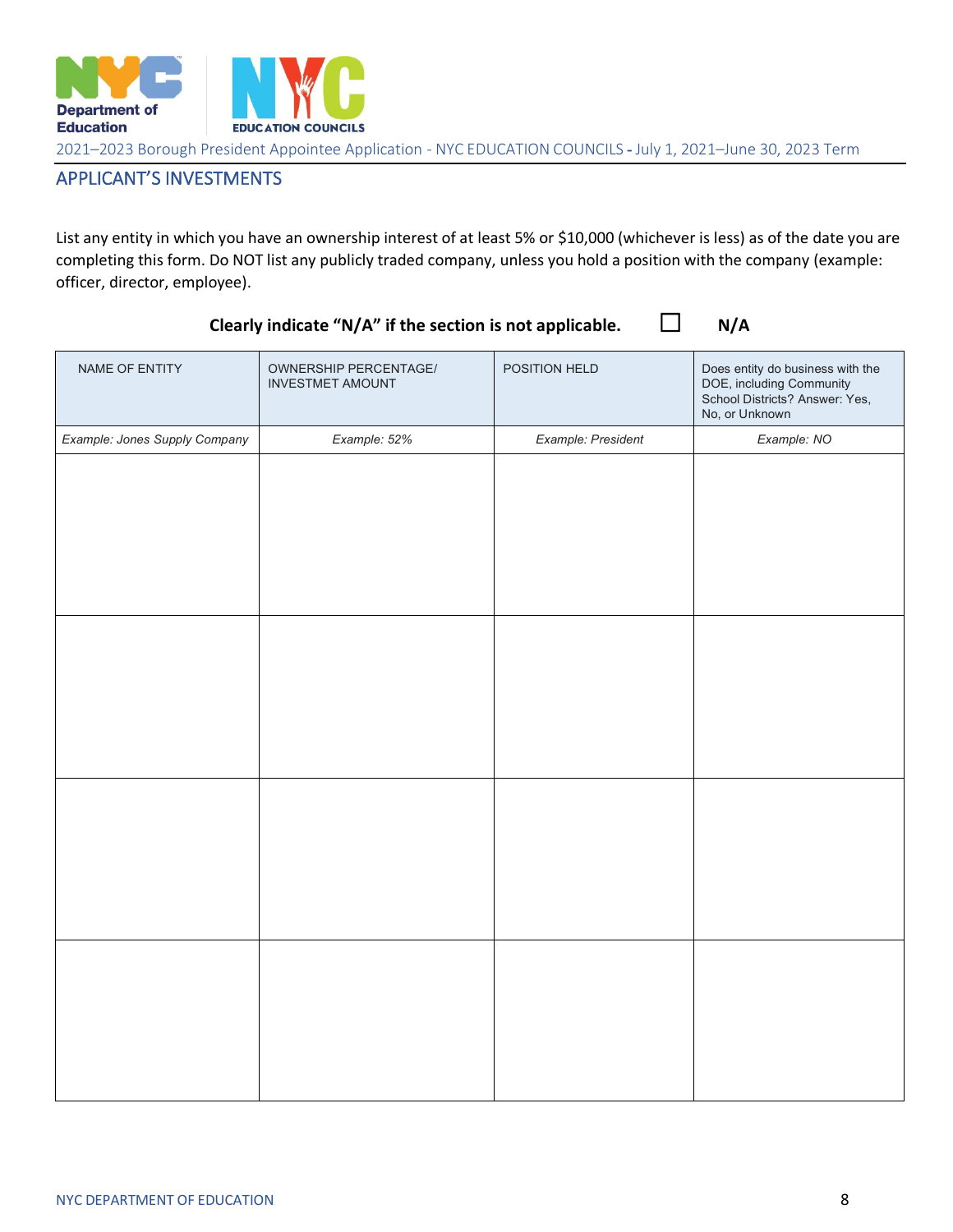

## APPLICANT'S INVESTMENTS

List any entity in which you have an ownership interest of at least 5% or \$10,000 (whichever is less) as of the date you are completing this form. Do NOT list any publicly traded company, unless you hold a position with the company (example: officer, director, employee).

| NAME OF ENTITY                | OWNERSHIP PERCENTAGE/<br><b>INVESTMET AMOUNT</b> | POSITION HELD      | Does entity do business with the<br>DOE, including Community<br>School Districts? Answer: Yes,<br>No, or Unknown |
|-------------------------------|--------------------------------------------------|--------------------|------------------------------------------------------------------------------------------------------------------|
| Example: Jones Supply Company | Example: 52%                                     | Example: President | Example: NO                                                                                                      |
|                               |                                                  |                    |                                                                                                                  |
|                               |                                                  |                    |                                                                                                                  |
|                               |                                                  |                    |                                                                                                                  |
|                               |                                                  |                    |                                                                                                                  |
|                               |                                                  |                    |                                                                                                                  |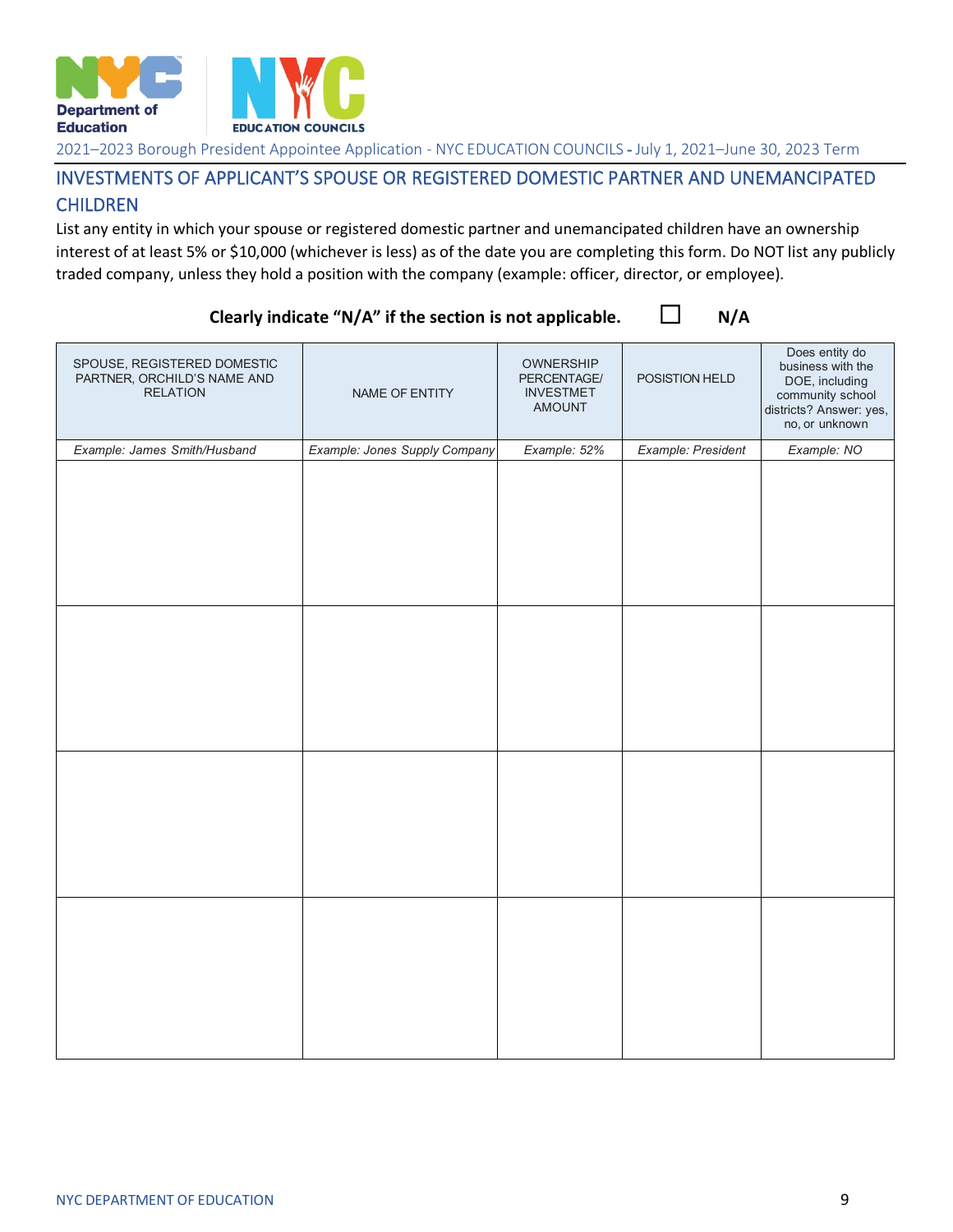

## INVESTMENTS OF APPLICANT'S SPOUSE OR REGISTERED DOMESTIC PARTNER AND UNEMANCIPATED CHILDREN

List any entity in which your spouse or registered domestic partner and unemancipated children have an ownership interest of at least 5% or \$10,000 (whichever is less) as of the date you are completing this form. Do NOT list any publicly traded company, unless they hold a position with the company (example: officer, director, or employee).

| SPOUSE, REGISTERED DOMESTIC<br>PARTNER, ORCHILD'S NAME AND<br><b>RELATION</b> | NAME OF ENTITY                | OWNERSHIP<br>PERCENTAGE/<br><b>INVESTMET</b><br>AMOUNT | POSISTION HELD     | Does entity do<br>business with the<br>DOE, including<br>community school<br>districts? Answer: yes,<br>no, or unknown |
|-------------------------------------------------------------------------------|-------------------------------|--------------------------------------------------------|--------------------|------------------------------------------------------------------------------------------------------------------------|
| Example: James Smith/Husband                                                  | Example: Jones Supply Company | Example: 52%                                           | Example: President | Example: NO                                                                                                            |
|                                                                               |                               |                                                        |                    |                                                                                                                        |
|                                                                               |                               |                                                        |                    |                                                                                                                        |
|                                                                               |                               |                                                        |                    |                                                                                                                        |
|                                                                               |                               |                                                        |                    |                                                                                                                        |